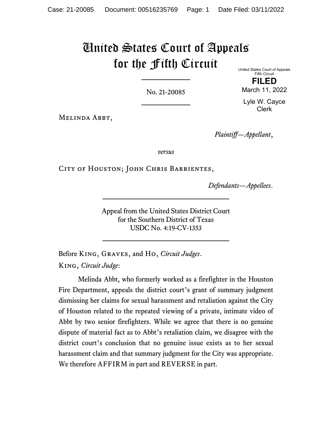# United States Court of Appeals for the Fifth Circuit

No. 21-20085

United States Court of Appeals Fifth Circuit

**FILED** March 11, 2022

Lyle W. Cayce Clerk

Melinda Abbt,

*Plaintiff—Appellant*,

*versus*

CITY OF HOUSTON; JOHN CHRIS BARRIENTES,

*Defendants—Appellees*.

Appeal from the United States District Court for the Southern District of Texas USDC No. 4:19-CV-1353

Before King, Graves, and Ho, *Circuit Judges*. King, *Circuit Judge*:

Melinda Abbt, who formerly worked as a firefighter in the Houston Fire Department, appeals the district court's grant of summary judgment dismissing her claims for sexual harassment and retaliation against the City of Houston related to the repeated viewing of a private, intimate video of Abbt by two senior firefighters. While we agree that there is no genuine dispute of material fact as to Abbt's retaliation claim, we disagree with the district court's conclusion that no genuine issue exists as to her sexual harassment claim and that summary judgment for the City was appropriate. We therefore AFFIRM in part and REVERSE in part.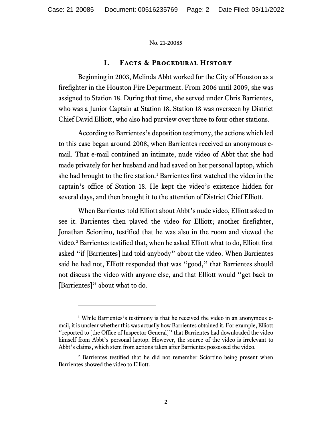## **I. Facts & Procedural History**

Beginning in 2003, Melinda Abbt worked for the City of Houston as a firefighter in the Houston Fire Department. From 2006 until 2009, she was assigned to Station 18. During that time, she served under Chris Barrientes, who was a Junior Captain at Station 18. Station 18 was overseen by District Chief David Elliott, who also had purview over three to four other stations.

According to Barrientes's deposition testimony, the actions which led to this case began around 2008, when Barrientes received an anonymous email. That e-mail contained an intimate, nude video of Abbt that she had made privately for her husband and had saved on her personal laptop, which she had brought to the fire station.<sup>[1](#page-1-0)</sup> Barrientes first watched the video in the captain's office of Station 18. He kept the video's existence hidden for several days, and then brought it to the attention of District Chief Elliott.

When Barrientes told Elliott about Abbt's nude video, Elliott asked to see it. Barrientes then played the video for Elliott; another firefighter, Jonathan Sciortino, testified that he was also in the room and viewed the video.[2](#page-1-1) Barrientes testified that, when he asked Elliott what to do, Elliott first asked "if [Barrientes] had told anybody" about the video. When Barrientes said he had not, Elliott responded that was "good," that Barrientes should not discuss the video with anyone else, and that Elliott would "get back to [Barrientes]" about what to do.

<span id="page-1-0"></span><sup>&</sup>lt;sup>1</sup> While Barrientes's testimony is that he received the video in an anonymous email, it is unclear whether this was actually how Barrientes obtained it. For example, Elliott "reported to [the Office of Inspector General]" that Barrientes had downloaded the video himself from Abbt's personal laptop. However, the source of the video is irrelevant to Abbt's claims, which stem from actions taken after Barrientes possessed the video.

<span id="page-1-1"></span><sup>&</sup>lt;sup>2</sup> Barrientes testified that he did not remember Sciortino being present when Barrientes showed the video to Elliott.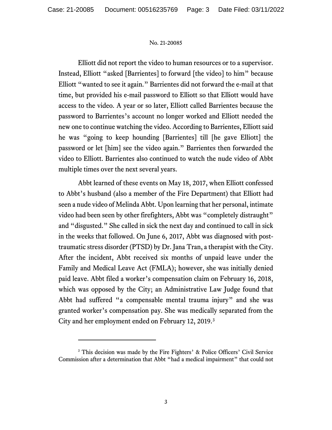Elliott did not report the video to human resources or to a supervisor. Instead, Elliott "asked [Barrientes] to forward [the video] to him" because Elliott "wanted to see it again." Barrientes did not forward the e-mail at that time, but provided his e-mail password to Elliott so that Elliott would have access to the video. A year or so later, Elliott called Barrientes because the password to Barrientes's account no longer worked and Elliott needed the new one to continue watching the video. According to Barrientes, Elliott said he was "going to keep hounding [Barrientes] till [he gave Elliott] the password or let [him] see the video again." Barrientes then forwarded the video to Elliott. Barrientes also continued to watch the nude video of Abbt multiple times over the next several years.

Abbt learned of these events on May 18, 2017, when Elliott confessed to Abbt's husband (also a member of the Fire Department) that Elliott had seen a nude video of Melinda Abbt. Upon learning that her personal, intimate video had been seen by other firefighters, Abbt was "completely distraught" and "disgusted." She called in sick the next day and continued to call in sick in the weeks that followed. On June 6, 2017, Abbt was diagnosed with posttraumatic stress disorder (PTSD) by Dr. Jana Tran, a therapist with the City. After the incident, Abbt received six months of unpaid leave under the Family and Medical Leave Act (FMLA); however, she was initially denied paid leave. Abbt filed a worker's compensation claim on February 16, 2018, which was opposed by the City; an Administrative Law Judge found that Abbt had suffered "a compensable mental trauma injury" and she was granted worker's compensation pay. She was medically separated from the City and her employment ended on February 12, 2019.[3](#page-2-0)

<span id="page-2-0"></span><sup>&</sup>lt;sup>3</sup> This decision was made by the Fire Fighters' & Police Officers' Civil Service Commission after a determination that Abbt "had a medical impairment" that could not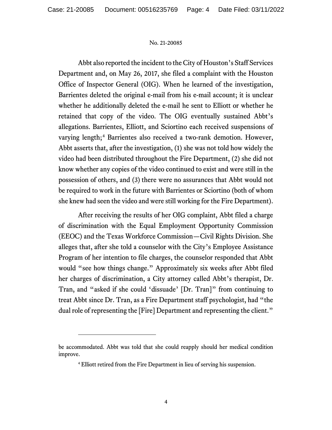Abbt also reported the incident to the City of Houston's Staff Services Department and, on May 26, 2017, she filed a complaint with the Houston Office of Inspector General (OIG). When he learned of the investigation, Barrientes deleted the original e-mail from his e-mail account; it is unclear whether he additionally deleted the e-mail he sent to Elliott or whether he retained that copy of the video. The OIG eventually sustained Abbt's allegations. Barrientes, Elliott, and Sciortino each received suspensions of varying length;<sup>[4](#page-3-0)</sup> Barrientes also received a two-rank demotion. However, Abbt asserts that, after the investigation, (1) she was not told how widely the video had been distributed throughout the Fire Department, (2) she did not know whether any copies of the video continued to exist and were still in the possession of others, and (3) there were no assurances that Abbt would not be required to work in the future with Barrientes or Sciortino (both of whom she knew had seen the video and were still working for the Fire Department).

After receiving the results of her OIG complaint, Abbt filed a charge of discrimination with the Equal Employment Opportunity Commission (EEOC) and the Texas Workforce Commission—Civil Rights Division. She alleges that, after she told a counselor with the City's Employee Assistance Program of her intention to file charges, the counselor responded that Abbt would "see how things change." Approximately six weeks after Abbt filed her charges of discrimination, a City attorney called Abbt's therapist, Dr. Tran, and "asked if she could 'dissuade' [Dr. Tran]" from continuing to treat Abbt since Dr. Tran, as a Fire Department staff psychologist, had "the dual role of representing the [Fire] Department and representing the client."

<span id="page-3-0"></span>be accommodated. Abbt was told that she could reapply should her medical condition improve.

<sup>4</sup> Elliott retired from the Fire Department in lieu of serving his suspension.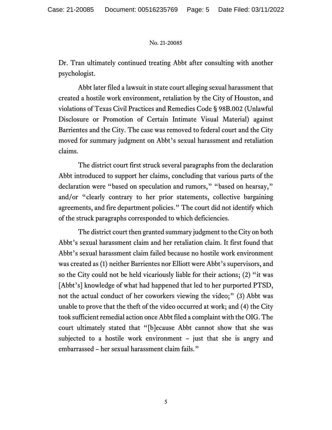Dr. Tran ultimately continued treating Abbt after consulting with another psychologist.

Abbt later filed a lawsuit in state court alleging sexual harassment that created a hostile work environment, retaliation by the City of Houston, and violations of Texas Civil Practices and Remedies Code § 98B.002 (Unlawful Disclosure or Promotion of Certain Intimate Visual Material) against Barrientes and the City. The case was removed to federal court and the City moved for summary judgment on Abbt's sexual harassment and retaliation claims.

The district court first struck several paragraphs from the declaration Abbt introduced to support her claims, concluding that various parts of the declaration were "based on speculation and rumors," "based on hearsay," and/or "clearly contrary to her prior statements, collective bargaining agreements, and fire department policies." The court did not identify which of the struck paragraphs corresponded to which deficiencies.

The district court then granted summary judgment to the City on both Abbt's sexual harassment claim and her retaliation claim. It first found that Abbt's sexual harassment claim failed because no hostile work environment was created as (1) neither Barrientes nor Elliott were Abbt's supervisors, and so the City could not be held vicariously liable for their actions; (2) "it was [Abbt's] knowledge of what had happened that led to her purported PTSD, not the actual conduct of her coworkers viewing the video;" (3) Abbt was unable to prove that the theft of the video occurred at work; and (4) the City took sufficient remedial action once Abbt filed a complaint with the OIG. The court ultimately stated that "[b]ecause Abbt cannot show that she was subjected to a hostile work environment – just that she is angry and embarrassed – her sexual harassment claim fails."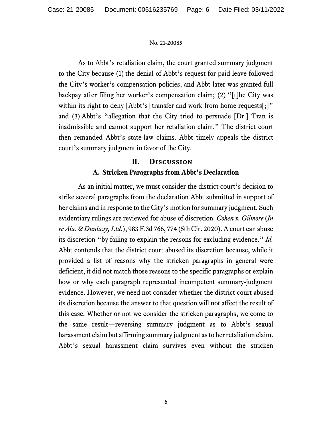As to Abbt's retaliation claim, the court granted summary judgment to the City because (1) the denial of Abbt's request for paid leave followed the City's worker's compensation policies, and Abbt later was granted full backpay after filing her worker's compensation claim; (2) "[t]he City was within its right to deny [Abbt's] transfer and work-from-home requests[;]" and (3) Abbt's "allegation that the City tried to persuade [Dr.] Tran is inadmissible and cannot support her retaliation claim." The district court then remanded Abbt's state-law claims. Abbt timely appeals the district court's summary judgment in favor of the City.

## **II. Discussion A. Stricken Paragraphs from Abbt's Declaration**

As an initial matter, we must consider the district court's decision to strike several paragraphs from the declaration Abbt submitted in support of her claims and in response to the City's motion for summary judgment. Such evidentiary rulings are reviewed for abuse of discretion. *Cohen v. Gilmore* (*In re Ala. & Dunlavy, Ltd.*), 983 F.3d 766, 774 (5th Cir. 2020). A court can abuse its discretion "by failing to explain the reasons for excluding evidence." *Id.*  Abbt contends that the district court abused its discretion because, while it provided a list of reasons why the stricken paragraphs in general were deficient, it did not match those reasons to the specific paragraphs or explain how or why each paragraph represented incompetent summary-judgment evidence. However, we need not consider whether the district court abused its discretion because the answer to that question will not affect the result of this case. Whether or not we consider the stricken paragraphs, we come to the same result—reversing summary judgment as to Abbt's sexual harassment claim but affirming summary judgment as to her retaliation claim. Abbt's sexual harassment claim survives even without the stricken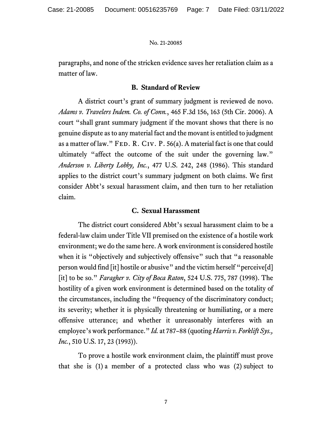paragraphs, and none of the stricken evidence saves her retaliation claim as a matter of law.

## **B. Standard of Review**

A district court's grant of summary judgment is reviewed de novo. *Adams v. Travelers Indem. Co. of Conn.*, 465 F.3d 156, 163 (5th Cir. 2006). A court "shall grant summary judgment if the movant shows that there is no genuine dispute as to any material fact and the movant is entitled to judgment as a matter of law." FED. R. CIV. P.  $56(a)$ . A material fact is one that could ultimately "affect the outcome of the suit under the governing law." *Anderson v. Liberty Lobby, Inc.*, 477 U.S. 242, 248 (1986). This standard applies to the district court's summary judgment on both claims. We first consider Abbt's sexual harassment claim, and then turn to her retaliation claim.

## **C. Sexual Harassment**

The district court considered Abbt's sexual harassment claim to be a federal-law claim under Title VII premised on the existence of a hostile work environment; we do the same here. A work environment is considered hostile when it is "objectively and subjectively offensive" such that "a reasonable person would find [it] hostile or abusive" and the victim herself "perceive[d] [it] to be so." *Faragher v. City of Boca Raton*, 524 U.S. 775, 787 (1998). The hostility of a given work environment is determined based on the totality of the circumstances, including the "frequency of the discriminatory conduct; its severity; whether it is physically threatening or humiliating, or a mere offensive utterance; and whether it unreasonably interferes with an employee's work performance." *Id.* at 787–88 (quoting *Harris v. Forklift Sys., Inc.*, 510 U.S. 17, 23 (1993)).

To prove a hostile work environment claim, the plaintiff must prove that she is (1) a member of a protected class who was (2) subject to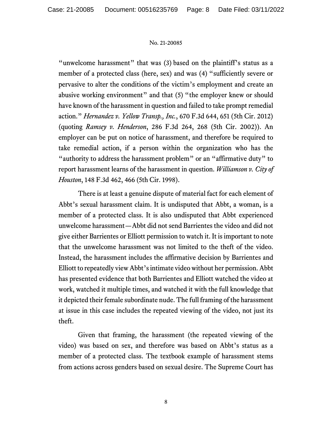"unwelcome harassment" that was (3) based on the plaintiff's status as a member of a protected class (here, sex) and was (4) "sufficiently severe or pervasive to alter the conditions of the victim's employment and create an abusive working environment" and that (5) "the employer knew or should have known of the harassment in question and failed to take prompt remedial action." *Hernandez v. Yellow Transp., Inc.*, 670 F.3d 644, 651 (5th Cir. 2012) (quoting *Ramsey v. Henderson*, 286 F.3d 264, 268 (5th Cir. 2002)). An employer can be put on notice of harassment, and therefore be required to take remedial action, if a person within the organization who has the "authority to address the harassment problem" or an "affirmative duty" to report harassment learns of the harassment in question. *Williamson v. City of Houston*, 148 F.3d 462, 466 (5th Cir. 1998).

There is at least a genuine dispute of material fact for each element of Abbt's sexual harassment claim. It is undisputed that Abbt, a woman, is a member of a protected class. It is also undisputed that Abbt experienced unwelcome harassment—Abbt did not send Barrientes the video and did not give either Barrientes or Elliott permission to watch it. It is important to note that the unwelcome harassment was not limited to the theft of the video. Instead, the harassment includes the affirmative decision by Barrientes and Elliott to repeatedly view Abbt's intimate video without her permission. Abbt has presented evidence that both Barrientes and Elliott watched the video at work, watched it multiple times, and watched it with the full knowledge that it depicted their female subordinate nude. The full framing of the harassment at issue in this case includes the repeated viewing of the video, not just its theft.

Given that framing, the harassment (the repeated viewing of the video) was based on sex, and therefore was based on Abbt's status as a member of a protected class. The textbook example of harassment stems from actions across genders based on sexual desire. The Supreme Court has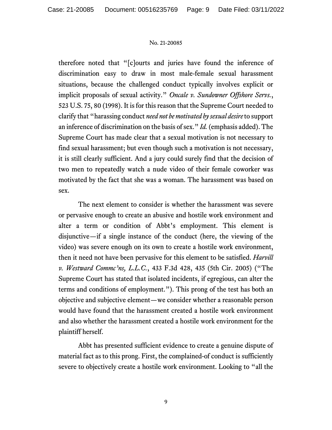therefore noted that "[c]ourts and juries have found the inference of discrimination easy to draw in most male-female sexual harassment situations, because the challenged conduct typically involves explicit or implicit proposals of sexual activity." *Oncale v. Sundowner Offshore Servs.*, 523 U.S. 75, 80 (1998). It is for this reason that the Supreme Court needed to clarify that "harassing conduct *need not be motivated by sexual desire* to support an inference of discrimination on the basis of sex." *Id.* (emphasis added). The Supreme Court has made clear that a sexual motivation is not necessary to find sexual harassment; but even though such a motivation is not necessary, it is still clearly sufficient. And a jury could surely find that the decision of two men to repeatedly watch a nude video of their female coworker was motivated by the fact that she was a woman. The harassment was based on sex.

The next element to consider is whether the harassment was severe or pervasive enough to create an abusive and hostile work environment and alter a term or condition of Abbt's employment. This element is disjunctive—if a single instance of the conduct (here, the viewing of the video) was severe enough on its own to create a hostile work environment, then it need not have been pervasive for this element to be satisfied. *Harvill v. Westward Commc'ns, L.L.C.*, 433 F.3d 428, 435 (5th Cir. 2005) ("The Supreme Court has stated that isolated incidents, if egregious, can alter the terms and conditions of employment."). This prong of the test has both an objective and subjective element—we consider whether a reasonable person would have found that the harassment created a hostile work environment and also whether the harassment created a hostile work environment for the plaintiff herself.

Abbt has presented sufficient evidence to create a genuine dispute of material fact as to this prong. First, the complained-of conduct is sufficiently severe to objectively create a hostile work environment. Looking to "all the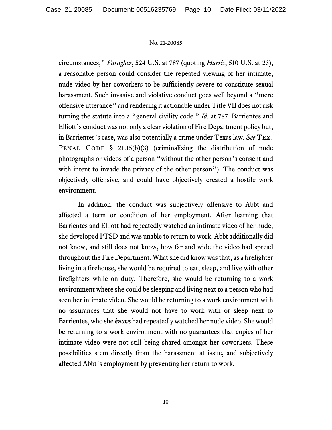circumstances," *Faragher*, 524 U.S. at 787 (quoting *Harris*, 510 U.S. at 23), a reasonable person could consider the repeated viewing of her intimate, nude video by her coworkers to be sufficiently severe to constitute sexual harassment. Such invasive and violative conduct goes well beyond a "mere offensive utterance" and rendering it actionable under Title VII does not risk turning the statute into a "general civility code." *Id.* at 787. Barrientes and Elliott's conduct was not only a clear violation of Fire Department policy but, in Barrientes's case, was also potentially a crime under Texas law. *See* Tex. PENAL CODE  $\S$  21.15(b)(3) (criminalizing the distribution of nude photographs or videos of a person "without the other person's consent and with intent to invade the privacy of the other person"). The conduct was objectively offensive, and could have objectively created a hostile work environment.

In addition, the conduct was subjectively offensive to Abbt and affected a term or condition of her employment. After learning that Barrientes and Elliott had repeatedly watched an intimate video of her nude, she developed PTSD and was unable to return to work. Abbt additionally did not know, and still does not know, how far and wide the video had spread throughout the Fire Department. What she did know was that, as a firefighter living in a firehouse, she would be required to eat, sleep, and live with other firefighters while on duty. Therefore, she would be returning to a work environment where she could be sleeping and living next to a person who had seen her intimate video. She would be returning to a work environment with no assurances that she would not have to work with or sleep next to Barrientes, who she *knows* had repeatedly watched her nude video. She would be returning to a work environment with no guarantees that copies of her intimate video were not still being shared amongst her coworkers. These possibilities stem directly from the harassment at issue, and subjectively affected Abbt's employment by preventing her return to work.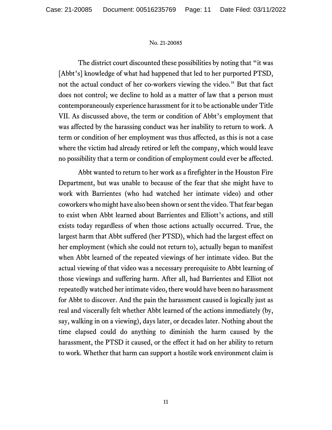The district court discounted these possibilities by noting that "it was [Abbt's] knowledge of what had happened that led to her purported PTSD, not the actual conduct of her co-workers viewing the video." But that fact does not control; we decline to hold as a matter of law that a person must contemporaneously experience harassment for it to be actionable under Title VII. As discussed above, the term or condition of Abbt's employment that was affected by the harassing conduct was her inability to return to work. A term or condition of her employment was thus affected, as this is not a case where the victim had already retired or left the company, which would leave no possibility that a term or condition of employment could ever be affected.

Abbt wanted to return to her work as a firefighter in the Houston Fire Department, but was unable to because of the fear that she might have to work with Barrientes (who had watched her intimate video) and other coworkers who might have also been shown or sent the video. That fear began to exist when Abbt learned about Barrientes and Elliott's actions, and still exists today regardless of when those actions actually occurred. True, the largest harm that Abbt suffered (her PTSD), which had the largest effect on her employment (which she could not return to), actually began to manifest when Abbt learned of the repeated viewings of her intimate video. But the actual viewing of that video was a necessary prerequisite to Abbt learning of those viewings and suffering harm. After all, had Barrientes and Elliot not repeatedly watched her intimate video, there would have been no harassment for Abbt to discover. And the pain the harassment caused is logically just as real and viscerally felt whether Abbt learned of the actions immediately (by, say, walking in on a viewing), days later, or decades later. Nothing about the time elapsed could do anything to diminish the harm caused by the harassment, the PTSD it caused, or the effect it had on her ability to return to work. Whether that harm can support a hostile work environment claim is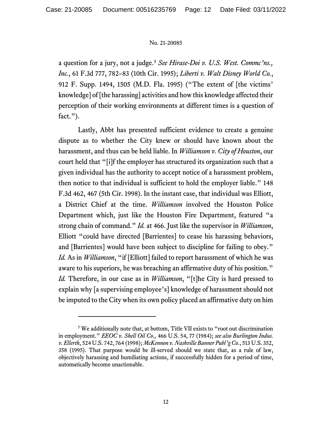a question for a jury, not a judge.[5](#page-11-0) *See Hirase-Doi v. U.S. West. Commc'ns., Inc.*, 61 F.3d 777, 782–83 (10th Cir. 1995); *Liberti v. Walt Disney World Co.*, 912 F. Supp. 1494, 1505 (M.D. Fla. 1995) ("The extent of [the victims' knowledge] of [the harassing] activities and how this knowledge affected their perception of their working environments at different times is a question of fact.").

Lastly, Abbt has presented sufficient evidence to create a genuine dispute as to whether the City knew or should have known about the harassment, and thus can be held liable. In *Williamson v. City of Houston*, our court held that "[i]f the employer has structured its organization such that a given individual has the authority to accept notice of a harassment problem, then notice to that individual is sufficient to hold the employer liable." 148 F.3d 462, 467 (5th Cir. 1998). In the instant case, that individual was Elliott, a District Chief at the time. *Williamson* involved the Houston Police Department which, just like the Houston Fire Department, featured "a strong chain of command." *Id.* at 466. Just like the supervisor in *Williamson*, Elliott "could have directed [Barrientes] to cease his harassing behaviors, and [Barrientes] would have been subject to discipline for failing to obey." *Id.* As in *Williamson*, "if [Elliott] failed to report harassment of which he was aware to his superiors, he was breaching an affirmative duty of his position." *Id.* Therefore, in our case as in *Williamson*, "[t]he City is hard pressed to explain why [a supervising employee's] knowledge of harassment should not be imputed to the City when its own policy placed an affirmative duty on him

<span id="page-11-0"></span><sup>&</sup>lt;sup>5</sup> We additionally note that, at bottom, Title VII exists to "root out discrimination in employment." *EEOC v. Shell Oil Co.,* 466 U.S. 54, 77 (1984); *see also Burlington Indus. v. Ellerth*, 524 U.S. 742, 764 (1998); *McKennon v. Nashville Banner Publ'g Co.*, 513 U.S. 352, 358 (1995). That purpose would be ill-served should we state that, as a rule of law, objectively harassing and humiliating actions, if successfully hidden for a period of time, automatically become unactionable.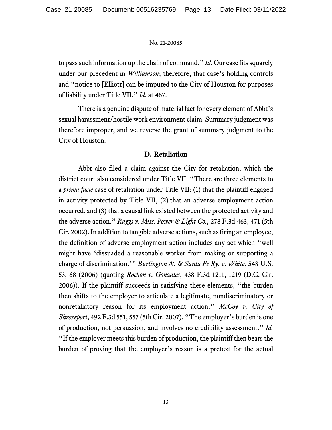to pass such information up the chain of command." *Id.* Our case fits squarely under our precedent in *Williamson*; therefore, that case's holding controls and "notice to [Elliott] can be imputed to the City of Houston for purposes of liability under Title VII." *Id.* at 467.

There is a genuine dispute of material fact for every element of Abbt's sexual harassment/hostile work environment claim. Summary judgment was therefore improper, and we reverse the grant of summary judgment to the City of Houston.

## **D. Retaliation**

Abbt also filed a claim against the City for retaliation, which the district court also considered under Title VII. "There are three elements to a *prima facie* case of retaliation under Title VII: (1) that the plaintiff engaged in activity protected by Title VII, (2) that an adverse employment action occurred, and (3) that a causal link existed between the protected activity and the adverse action." *Raggs v. Miss. Power & Light Co.*, 278 F.3d 463, 471 (5th Cir. 2002). In addition to tangible adverse actions, such as firing an employee, the definition of adverse employment action includes any act which "well might have 'dissuaded a reasonable worker from making or supporting a charge of discrimination.'" *Burlington N. & Santa Fe Ry. v. White*, 548 U.S. 53, 68 (2006) (quoting *Rochon v. Gonzales*, 438 F.3d 1211, 1219 (D.C. Cir. 2006)). If the plaintiff succeeds in satisfying these elements, "the burden then shifts to the employer to articulate a legitimate, nondiscriminatory or nonretaliatory reason for its employment action." *McCoy v. City of Shreveport*, 492 F.3d 551, 557 (5th Cir. 2007). "The employer's burden is one of production, not persuasion, and involves no credibility assessment." *Id.*  "If the employer meets this burden of production, the plaintiff then bears the burden of proving that the employer's reason is a pretext for the actual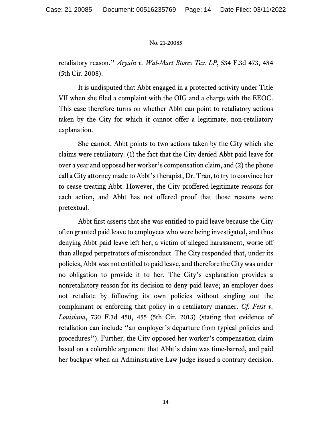retaliatory reason." *Aryain v. Wal-Mart Stores Tex. LP*, 534 F.3d 473, 484 (5th Cir. 2008).

It is undisputed that Abbt engaged in a protected activity under Title VII when she filed a complaint with the OIG and a charge with the EEOC. This case therefore turns on whether Abbt can point to retaliatory actions taken by the City for which it cannot offer a legitimate, non-retaliatory explanation.

She cannot. Abbt points to two actions taken by the City which she claims were retaliatory: (1) the fact that the City denied Abbt paid leave for over a year and opposed her worker's compensation claim, and (2) the phone call a City attorney made to Abbt's therapist, Dr. Tran, to try to convince her to cease treating Abbt. However, the City proffered legitimate reasons for each action, and Abbt has not offered proof that those reasons were pretextual.

Abbt first asserts that she was entitled to paid leave because the City often granted paid leave to employees who were being investigated, and thus denying Abbt paid leave left her, a victim of alleged harassment, worse off than alleged perpetrators of misconduct. The City responded that, under its policies, Abbt was not entitled to paid leave, and therefore the City was under no obligation to provide it to her. The City's explanation provides a nonretaliatory reason for its decision to deny paid leave; an employer does not retaliate by following its own policies without singling out the complainant or enforcing that policy in a retaliatory manner. *Cf. Feist v. Louisiana*, 730 F.3d 450, 455 (5th Cir. 2013) (stating that evidence of retaliation can include "an employer's departure from typical policies and procedures"). Further, the City opposed her worker's compensation claim based on a colorable argument that Abbt's claim was time-barred, and paid her backpay when an Administrative Law Judge issued a contrary decision.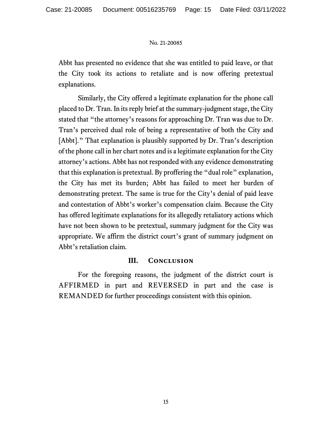Abbt has presented no evidence that she was entitled to paid leave, or that the City took its actions to retaliate and is now offering pretextual explanations.

Similarly, the City offered a legitimate explanation for the phone call placed to Dr. Tran. In its reply brief at the summary-judgment stage, the City stated that "the attorney's reasons for approaching Dr. Tran was due to Dr. Tran's perceived dual role of being a representative of both the City and [Abbt]." That explanation is plausibly supported by Dr. Tran's description of the phone call in her chart notes and is a legitimate explanation for the City attorney's actions. Abbt has not responded with any evidence demonstrating that this explanation is pretextual. By proffering the "dual role" explanation, the City has met its burden; Abbt has failed to meet her burden of demonstrating pretext. The same is true for the City's denial of paid leave and contestation of Abbt's worker's compensation claim. Because the City has offered legitimate explanations for its allegedly retaliatory actions which have not been shown to be pretextual, summary judgment for the City was appropriate. We affirm the district court's grant of summary judgment on Abbt's retaliation claim.

## **III. Conclusion**

For the foregoing reasons, the judgment of the district court is AFFIRMED in part and REVERSED in part and the case is REMANDED for further proceedings consistent with this opinion.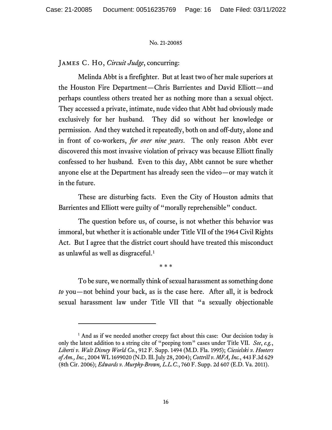James C. Ho, *Circuit Judge*, concurring:

Melinda Abbt is a firefighter. But at least two of her male superiors at the Houston Fire Department—Chris Barrientes and David Elliott—and perhaps countless others treated her as nothing more than a sexual object. They accessed a private, intimate, nude video that Abbt had obviously made exclusively for her husband. They did so without her knowledge or permission. And they watched it repeatedly, both on and off-duty, alone and in front of co-workers, *for over nine years*. The only reason Abbt ever discovered this most invasive violation of privacy was because Elliott finally confessed to her husband. Even to this day, Abbt cannot be sure whether anyone else at the Department has already seen the video—or may watch it in the future.

These are disturbing facts. Even the City of Houston admits that Barrientes and Elliott were guilty of "morally reprehensible" conduct.

The question before us, of course, is not whether this behavior was immoral, but whether it is actionable under Title VII of the 1964 Civil Rights Act. But I agree that the district court should have treated this misconduct as unlawful as well as disgraceful. [1](#page-15-0)

\* \* \*

To be sure, we normally think of sexual harassment as something done *to* you—not behind your back, as is the case here. After all, it is bedrock sexual harassment law under Title VII that "a sexually objectionable

<span id="page-15-0"></span> $<sup>1</sup>$  And as if we needed another creepy fact about this case: Our decision today is</sup> only the latest addition to a string cite of "peeping tom" cases under Title VII. *See*, *e.g.*, *Liberti v. Walt Disney World Co.*, 912 F. Supp. 1494 (M.D. Fla. 1995); *Ciesielski v. Hooters of Am., Inc.*, 2004 WL 1699020 (N.D. Ill. July 28, 2004); *Cottrill v. MFA, Inc.*, 443 F.3d 629 (8th Cir. 2006); *Edwards v. Murphy-Brown, L.L.C.*, 760 F. Supp. 2d 607 (E.D. Va. 2011).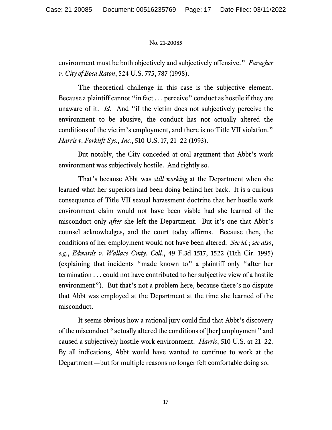environment must be both objectively and subjectively offensive." *Faragher v. City of Boca Raton*, 524 U.S. 775, 787 (1998).

The theoretical challenge in this case is the subjective element. Because a plaintiff cannot "in fact . . . perceive" conduct as hostile if they are unaware of it. *Id.* And "if the victim does not subjectively perceive the environment to be abusive, the conduct has not actually altered the conditions of the victim's employment, and there is no Title VII violation." *Harris v. Forklift Sys., Inc.*, 510 U.S. 17, 21–22 (1993).

But notably, the City conceded at oral argument that Abbt's work environment was subjectively hostile. And rightly so.

That's because Abbt was *still working* at the Department when she learned what her superiors had been doing behind her back. It is a curious consequence of Title VII sexual harassment doctrine that her hostile work environment claim would not have been viable had she learned of the misconduct only *after* she left the Department. But it's one that Abbt's counsel acknowledges, and the court today affirms. Because then, the conditions of her employment would not have been altered. *See id.*; *see also*, *e.g.*, *Edwards v. Wallace Cmty. Coll.*, 49 F.3d 1517, 1522 (11th Cir. 1995) (explaining that incidents "made known to" a plaintiff only "after her termination . . . could not have contributed to her subjective view of a hostile environment"). But that's not a problem here, because there's no dispute that Abbt was employed at the Department at the time she learned of the misconduct.

It seems obvious how a rational jury could find that Abbt's discovery of the misconduct "actually altered the conditions of [her] employment" and caused a subjectively hostile work environment. *Harris*, 510 U.S. at 21–22. By all indications, Abbt would have wanted to continue to work at the Department—but for multiple reasons no longer felt comfortable doing so.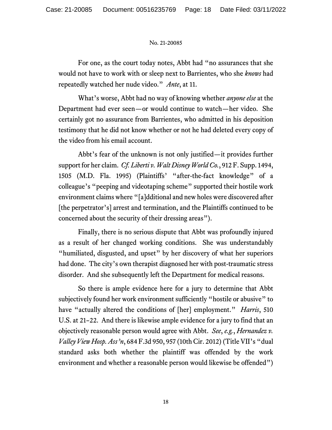For one, as the court today notes, Abbt had "no assurances that she would not have to work with or sleep next to Barrientes, who she *knows* had repeatedly watched her nude video." *Ante*, at 11.

What's worse, Abbt had no way of knowing whether *anyone else* at the Department had ever seen—or would continue to watch—her video. She certainly got no assurance from Barrientes, who admitted in his deposition testimony that he did not know whether or not he had deleted every copy of the video from his email account.

Abbt's fear of the unknown is not only justified—it provides further support for her claim. *Cf. Liberti v. Walt Disney World Co.*, 912 F. Supp. 1494, 1505 (M.D. Fla. 1995) (Plaintiffs' "after-the-fact knowledge" of a colleague's "peeping and videotaping scheme" supported their hostile work environment claims where "[a]dditional and new holes were discovered after [the perpetrator's] arrest and termination, and the Plaintiffs continued to be concerned about the security of their dressing areas").

Finally, there is no serious dispute that Abbt was profoundly injured as a result of her changed working conditions. She was understandably "humiliated, disgusted, and upset" by her discovery of what her superiors had done. The city's own therapist diagnosed her with post-traumatic stress disorder. And she subsequently left the Department for medical reasons.

So there is ample evidence here for a jury to determine that Abbt subjectively found her work environment sufficiently "hostile or abusive" to have "actually altered the conditions of [her] employment." *Harris*, 510 U.S. at 21–22. And there is likewise ample evidence for a jury to find that an objectively reasonable person would agree with Abbt. *See*, *e.g.*, *Hernandez v. Valley View Hosp. Ass'n*, 684 F.3d 950, 957 (10th Cir. 2012) (Title VII's "dual standard asks both whether the plaintiff was offended by the work environment and whether a reasonable person would likewise be offended")